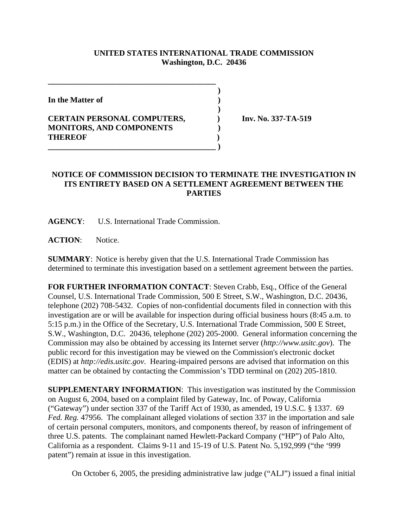## **UNITED STATES INTERNATIONAL TRADE COMMISSION Washington, D.C. 20436**

 **)**

 **)**

**In the Matter of )**

## **CERTAIN PERSONAL COMPUTERS, ) Inv. No. 337-TA-519 MONITORS, AND COMPONENTS ) THEREOF ) \_\_\_\_\_\_\_\_\_\_\_\_\_\_\_\_\_\_\_\_\_\_\_\_\_\_\_\_\_\_\_\_\_\_\_\_\_\_\_\_\_\_ )**

**\_\_\_\_\_\_\_\_\_\_\_\_\_\_\_\_\_\_\_\_\_\_\_\_\_\_\_\_\_\_\_\_\_\_\_\_\_\_\_\_\_\_**

## **NOTICE OF COMMISSION DECISION TO TERMINATE THE INVESTIGATION IN ITS ENTIRETY BASED ON A SETTLEMENT AGREEMENT BETWEEN THE PARTIES**

**AGENCY**: U.S. International Trade Commission.

ACTION: Notice.

**SUMMARY**: Notice is hereby given that the U.S. International Trade Commission has determined to terminate this investigation based on a settlement agreement between the parties.

**FOR FURTHER INFORMATION CONTACT**: Steven Crabb, Esq., Office of the General Counsel, U.S. International Trade Commission, 500 E Street, S.W., Washington, D.C. 20436, telephone (202) 708-5432. Copies of non-confidential documents filed in connection with this investigation are or will be available for inspection during official business hours (8:45 a.m. to 5:15 p.m.) in the Office of the Secretary, U.S. International Trade Commission, 500 E Street, S.W., Washington, D.C. 20436, telephone (202) 205-2000. General information concerning the Commission may also be obtained by accessing its Internet server (*http://www.usitc.gov*). The public record for this investigation may be viewed on the Commission's electronic docket (EDIS) at *http://edis.usitc.gov*. Hearing-impaired persons are advised that information on this matter can be obtained by contacting the Commission's TDD terminal on (202) 205-1810.

**SUPPLEMENTARY INFORMATION**: This investigation was instituted by the Commission on August 6, 2004, based on a complaint filed by Gateway, Inc. of Poway, California ("Gateway") under section 337 of the Tariff Act of 1930, as amended, 19 U.S.C. § 1337. 69 *Fed. Reg.* 47956. The complainant alleged violations of section 337 in the importation and sale of certain personal computers, monitors, and components thereof, by reason of infringement of three U.S. patents. The complainant named Hewlett-Packard Company ("HP") of Palo Alto, California as a respondent. Claims 9-11 and 15-19 of U.S. Patent No. 5,192,999 ("the '999 patent") remain at issue in this investigation.

On October 6, 2005, the presiding administrative law judge ("ALJ") issued a final initial